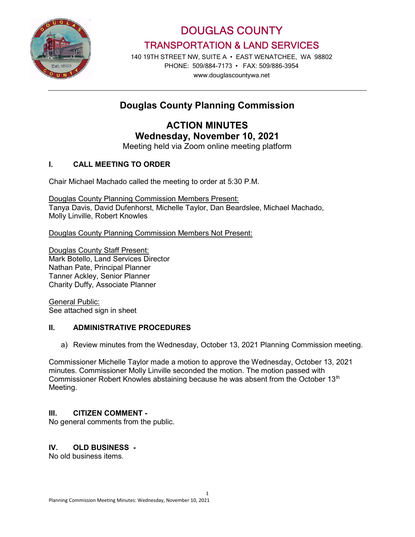

DOUGLAS COUNTY TRANSPORTATION & LAND SERVICES

140 19TH STREET NW, SUITE A • EAST WENATCHEE, WA 98802 PHONE: 509/884-7173 • FAX: 509/886-3954 www.douglascountywa.net

# Douglas County Planning Commission

ACTION MINUTES Wednesday, November 10, 2021

Meeting held via Zoom online meeting platform

### I. CALL MEETING TO ORDER

Chair Michael Machado called the meeting to order at 5:30 P.M.

Douglas County Planning Commission Members Present: Tanya Davis, David Dufenhorst, Michelle Taylor, Dan Beardslee, Michael Machado, Molly Linville, Robert Knowles

Douglas County Planning Commission Members Not Present:

Douglas County Staff Present: Mark Botello, Land Services Director Nathan Pate, Principal Planner Tanner Ackley, Senior Planner Charity Duffy, Associate Planner

General Public: See attached sign in sheet

### II. ADMINISTRATIVE PROCEDURES

a) Review minutes from the Wednesday, October 13, 2021 Planning Commission meeting.

Commissioner Michelle Taylor made a motion to approve the Wednesday, October 13, 2021 minutes. Commissioner Molly Linville seconded the motion. The motion passed with Commissioner Robert Knowles abstaining because he was absent from the October 13<sup>th</sup> Meeting.

### III. CITIZEN COMMENT -

No general comments from the public.

### IV. OLD BUSINESS -

No old business items.